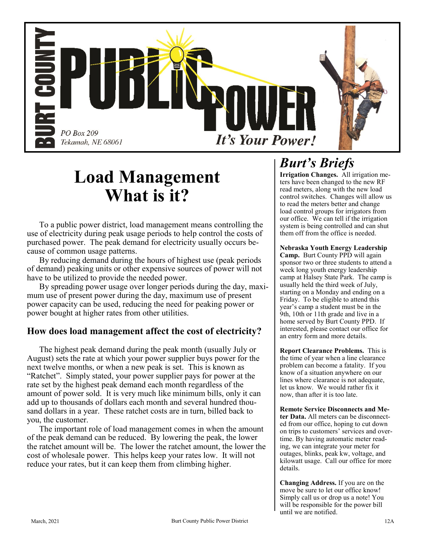

# **Load Management What is it?**

To a public power district, load management means controlling the use of electricity during peak usage periods to help control the costs of purchased power. The peak demand for electricity usually occurs because of common usage patterns.

By reducing demand during the hours of highest use (peak periods of demand) peaking units or other expensive sources of power will not have to be utilized to provide the needed power.

By spreading power usage over longer periods during the day, maximum use of present power during the day, maximum use of present power capacity can be used, reducing the need for peaking power or power bought at higher rates from other utilities.

### **How does load management affect the cost of electricity?**

The highest peak demand during the peak month (usually July or August) sets the rate at which your power supplier buys power for the next twelve months, or when a new peak is set. This is known as "Ratchet". Simply stated, your power supplier pays for power at the rate set by the highest peak demand each month regardless of the amount of power sold. It is very much like minimum bills, only it can add up to thousands of dollars each month and several hundred thousand dollars in a year. These ratchet costs are in turn, billed back to you, the customer.

The important role of load management comes in when the amount of the peak demand can be reduced. By lowering the peak, the lower the ratchet amount will be. The lower the ratchet amount, the lower the cost of wholesale power. This helps keep your rates low. It will not reduce your rates, but it can keep them from climbing higher.

## *Burt's Briefs*

**Irrigation Changes.** All irrigation meters have been changed to the new RF read meters, along with the new load control switches. Changes will allow us to read the meters better and change load control groups for irrigators from our office. We can tell if the irrigation system is being controlled and can shut them off from the office is needed.

#### **Nebraska Youth Energy Leadership**

**Camp.** Burt County PPD will again sponsor two or three students to attend a week long youth energy leadership camp at Halsey State Park. The camp is usually held the third week of July, starting on a Monday and ending on a Friday. To be eligible to attend this year's camp a student must be in the 9th, 10th or 11th grade and live in a home served by Burt County PPD. If interested, please contact our office for an entry form and more details.

**Report Clearance Problems.** This is the time of year when a line clearance problem can become a fatality. If you know of a situation anywhere on our lines where clearance is not adequate, let us know. We would rather fix it now, than after it is too late.

**Remote Service Disconnects and Meter Data.** All meters can be disconnected from our office, hoping to cut down on trips to customers' services and overtime. By having automatic meter reading, we can integrate your meter for outages, blinks, peak kw, voltage, and kilowatt usage. Call our office for more details.

**Changing Address.** If you are on the move be sure to let our office know! Simply call us or drop us a note! You will be responsible for the power bill until we are notified.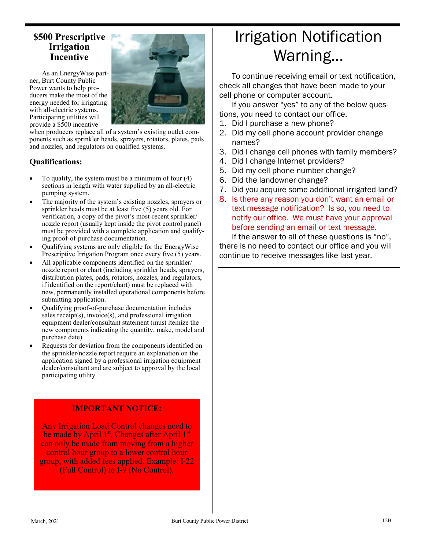### **\$500 Prescriptive Irrigation Incentive**

As an EnergyWise partner, Burt County Public Power wants to help producers make the most of the energy needed for irrigating with all-electric systems. Participating utilities will provide a \$500 incentive



when producers replace all of a system's existing outlet components such as sprinkler heads, sprayers, rotators, plates, pads and nozzles, and regulators on qualified systems.

#### **Qualifications:**

- To qualify, the system must be a minimum of four  $(4)$ sections in length with water supplied by an all-electric pumping system.
- The majority of the system's existing nozzles, sprayers or sprinkler heads must be at least five (5) years old. For verification, a copy of the pivot's most-recent sprinkler/ nozzle report (usually kept inside the pivot control panel) must be provided with a complete application and qualifying proof-of-purchase documentation.
- Qualifying systems are only eligible for the EnergyWise Prescriptive Irrigation Program once every five (5) years.
- All applicable components identified on the sprinkler/ nozzle report or chart (including sprinkler heads, sprayers, distribution plates, pads, rotators, nozzles, and regulators, if identified on the report/chart) must be replaced with new, permanently installed operational components before submitting application.
- Qualifying proof-of-purchase documentation includes sales receipt(s), invoice(s), and professional irrigation equipment dealer/consultant statement (must itemize the new components indicating the quantity, make, model and purchase date).
- Requests for deviation from the components identified on the sprinkler/nozzle report require an explanation on the application signed by a professional irrigation equipment dealer/consultant and are subject to approval by the local participating utility.

#### **IMPORTANT NOTICE:**

Any Irrigation Load Control changes need to be made by April 1st. Changes after April 1st can only be made from moving from a higher control hour group to a lower control hour group, with added fees applied. Example: I-22 (Full Control) to I-9 (No Control).

# Irrigation Notification Warning...

To continue receiving email or text notification, check all changes that have been made to your cell phone or computer account.

If you answer "yes" to any of the below questions, you need to contact our office.

- 1. Did I purchase a new phone?
- 2. Did my cell phone account provider change names?
- 3. Did I change cell phones with family members?
- 4. Did I change Internet providers?
- 5. Did my cell phone number change?
- 6. Did the landowner change?
- 7. Did you acquire some additional irrigated land?
- 8. Is there any reason you don't want an email or text message notification? Is so, you need to notify our office. We must have your approval before sending an email or text message.

If the answer to all of these questions is "no", there is no need to contact our office and you will continue to receive messages like last year.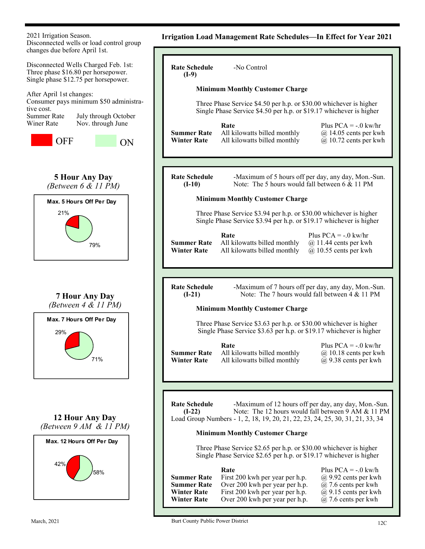